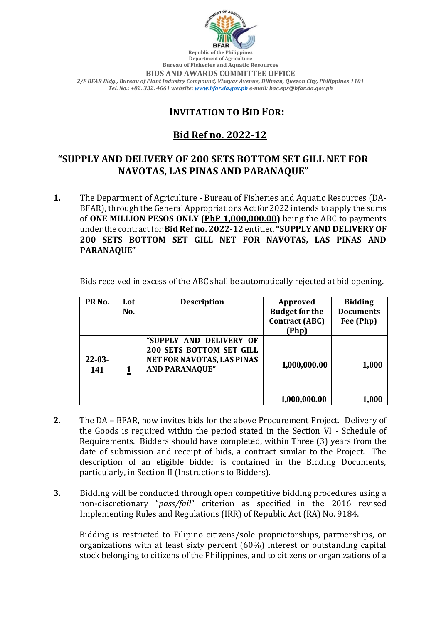

**Department of Agriculture Bureau of Fisheries and Aquatic Resources BIDS AND AWARDS COMMITTEE OFFICE** *2/F BFAR Bldg., Bureau of Plant Industry Compound, Visayas Avenue, Diliman, Quezon City, Philippines 1101 Tel. No.: +02. 332. 4661 website[: www.bfar.da.gov.ph](http://www.bfar.da.gov.ph/) e-mail: bac.eps@bfar.da.gov.ph*

## **INVITATION TO BID FOR:**

# **Bid Ref no. 2022-12**

## **"SUPPLY AND DELIVERY OF 200 SETS BOTTOM SET GILL NET FOR NAVOTAS, LAS PINAS AND PARANAQUE"**

**1.** The Department of Agriculture - Bureau of Fisheries and Aquatic Resources (DA-BFAR), through the General Appropriations Act for 2022 intends to apply the sums of **ONE MILLION PESOS ONLY (PhP 1,000,000.00)** being the ABC to payments under the contract for **Bid Ref no. 2022-12** entitled **"SUPPLY AND DELIVERY OF 200 SETS BOTTOM SET GILL NET FOR NAVOTAS, LAS PINAS AND PARANAQUE"**

Bids received in excess of the ABC shall be automatically rejected at bid opening.

| PR <sub>No.</sub>  | Lot | <b>Description</b>                                                                                                | Approved              | <b>Bidding</b>         |
|--------------------|-----|-------------------------------------------------------------------------------------------------------------------|-----------------------|------------------------|
|                    | No. |                                                                                                                   | <b>Budget for the</b> | <b>Documents</b>       |
|                    |     |                                                                                                                   | <b>Contract (ABC)</b> | Fee (Php)              |
|                    |     |                                                                                                                   | (Php)                 |                        |
| $22 - 03 -$<br>141 |     | "SUPPLY AND DELIVERY OF<br><b>200 SETS BOTTOM SET GILL</b><br>NET FOR NAVOTAS, LAS PINAS<br><b>AND PARANAQUE"</b> | 1,000,000.00          | 1,000                  |
|                    |     |                                                                                                                   | 1,000,000.00          | $\boldsymbol{1{,}000}$ |

- **2.** The DA BFAR, now invites bids for the above Procurement Project. Delivery of the Goods is required within the period stated in the Section VI - Schedule of Requirements. Bidders should have completed, within Three (3) years from the date of submission and receipt of bids, a contract similar to the Project. The description of an eligible bidder is contained in the Bidding Documents, particularly, in Section II (Instructions to Bidders).
- **3.** Bidding will be conducted through open competitive bidding procedures using a non-discretionary "*pass/fail*" criterion as specified in the 2016 revised Implementing Rules and Regulations (IRR) of Republic Act (RA) No. 9184.

Bidding is restricted to Filipino citizens/sole proprietorships, partnerships, or organizations with at least sixty percent (60%) interest or outstanding capital stock belonging to citizens of the Philippines, and to citizens or organizations of a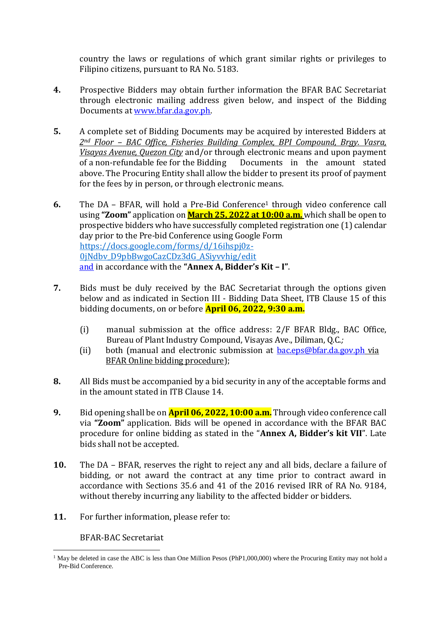country the laws or regulations of which grant similar rights or privileges to Filipino citizens, pursuant to RA No. 5183.

- **4.** Prospective Bidders may obtain further information the BFAR BAC Secretariat through electronic mailing address given below, and inspect of the Bidding Documents at [www.bfar.da.gov.ph.](http://www.bfar.da.gov.ph/)
- **5.** A complete set of Bidding Documents may be acquired by interested Bidders at *2nd Floor – BAC Office, Fisheries Building Complex, BPI Compound, Brgy. Vasra, Visayas Avenue, Quezon City* and/or through electronic means and upon payment of a non-refundable fee for the Bidding Documents in the amount stated above. The Procuring Entity shall allow the bidder to present its proof of payment for the fees by in person, or through electronic means.
- **6.** The DA BFAR, will hold a Pre-Bid Conference<sup>1</sup> through video conference call using **"Zoom"** application on **March 25, 2022 at 10:00 a.m.** which shall be open to prospective bidders who have successfully completed registration one (1) calendar day prior to the Pre-bid Conference using Google Form https://docs.google.com/forms/d/16ihspj0z-0jNdbv\_D9pbBwgoCazCDz3dG\_ASiyvvhig/edit and in accordance with the **"Annex A, Bidder's Kit – I"**.
- **7.** Bids must be duly received by the BAC Secretariat through the options given below and as indicated in Section III - Bidding Data Sheet, ITB Clause 15 of this bidding documents, on or before **April 06, 2022, 9:30 a.m.**
	- (i) manual submission at the office address: 2/F BFAR Bldg., BAC Office, Bureau of Plant Industry Compound, Visayas Ave., Diliman, Q.C.*;*
	- (ii) both (manual and electronic submission at [bac.eps@bfar.da.gov.ph](mailto:bac.eps@bfar.da.gov.ph) via BFAR Online bidding procedure);
- **8.** All Bids must be accompanied by a bid security in any of the acceptable forms and in the amount stated in ITB Clause 14.
- **9.** Bid opening shall be on **April 06, 2022, 10:00 a.m.** Through video conference call via **"Zoom"** application. Bids will be opened in accordance with the BFAR BAC procedure for online bidding as stated in the "**Annex A, Bidder's kit VII**". Late bids shall not be accepted.
- **10.** The DA BFAR, reserves the right to reject any and all bids, declare a failure of bidding, or not award the contract at any time prior to contract award in accordance with Sections 35.6 and 41 of the 2016 revised IRR of RA No. 9184, without thereby incurring any liability to the affected bidder or bidders.
- **11.** For further information, please refer to:

BFAR-BAC Secretariat

<sup>&</sup>lt;u>.</u> <sup>1</sup> May be deleted in case the ABC is less than One Million Pesos (PhP1,000,000) where the Procuring Entity may not hold a Pre-Bid Conference.